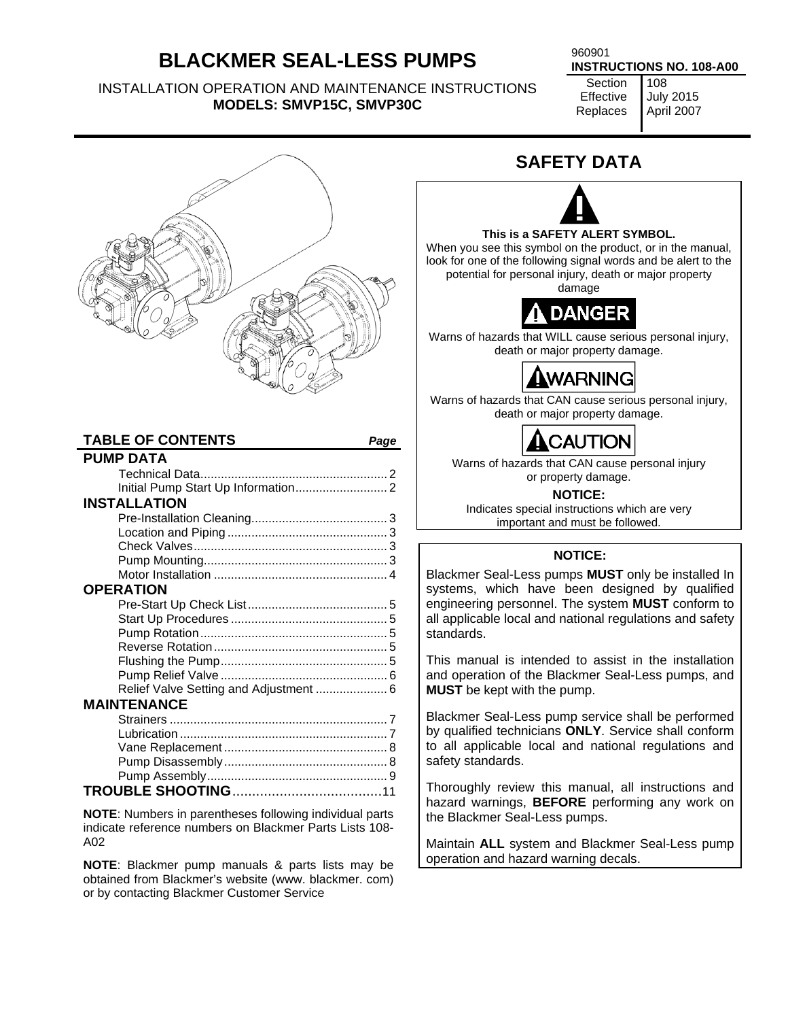# **BLACKMER SEAL-LESS PUMPS**

INSTALLATION OPERATION AND MAINTENANCE INSTRUCTIONS **MODELS: SMVP15C, SMVP30C** 

**INSTRUCTIONS NO. 108-A00** 

**Section** Effective Replaces 108

July 2015 April 2007



## **TABLE OF CONTENTS** *Page* **PUMP DATA** Technical Data ....................................................... 2

| <b>INSTALLATION</b>                    |  |
|----------------------------------------|--|
|                                        |  |
|                                        |  |
|                                        |  |
|                                        |  |
|                                        |  |
| <b>OPERATION</b>                       |  |
|                                        |  |
|                                        |  |
|                                        |  |
|                                        |  |
|                                        |  |
|                                        |  |
| Relief Valve Setting and Adjustment  6 |  |
| <b>MAINTENANCE</b>                     |  |
|                                        |  |
|                                        |  |
|                                        |  |
|                                        |  |
|                                        |  |
|                                        |  |
|                                        |  |

**NOTE**: Numbers in parentheses following individual parts indicate reference numbers on Blackmer Parts Lists 108- A02

**NOTE**: Blackmer pump manuals & parts lists may be obtained from Blackmer's website (www. blackmer. com) or by contacting Blackmer Customer Service

# **SAFETY DATA**



#### **This is a SAFETY ALERT SYMBOL.**

When you see this symbol on the product, or in the manual, look for one of the following signal words and be alert to the potential for personal injury, death or major property

damage



Warns of hazards that WILL cause serious personal injury, death or major property damage.



Warns of hazards that CAN cause serious personal injury, death or major property damage.

# CAUTION

Warns of hazards that CAN cause personal injury or property damage.

**NOTICE:** 

Indicates special instructions which are very important and must be followed.

## **NOTICE:**

Blackmer Seal-Less pumps **MUST** only be installed In systems, which have been designed by qualified engineering personnel. The system **MUST** conform to all applicable local and national regulations and safety standards.

This manual is intended to assist in the installation and operation of the Blackmer Seal-Less pumps, and **MUST** be kept with the pump.

Blackmer Seal-Less pump service shall be performed by qualified technicians **ONLY**. Service shall conform to all applicable local and national regulations and safety standards.

Thoroughly review this manual, all instructions and hazard warnings, **BEFORE** performing any work on the Blackmer Seal-Less pumps.

Maintain **ALL** system and Blackmer Seal-Less pump operation and hazard warning decals.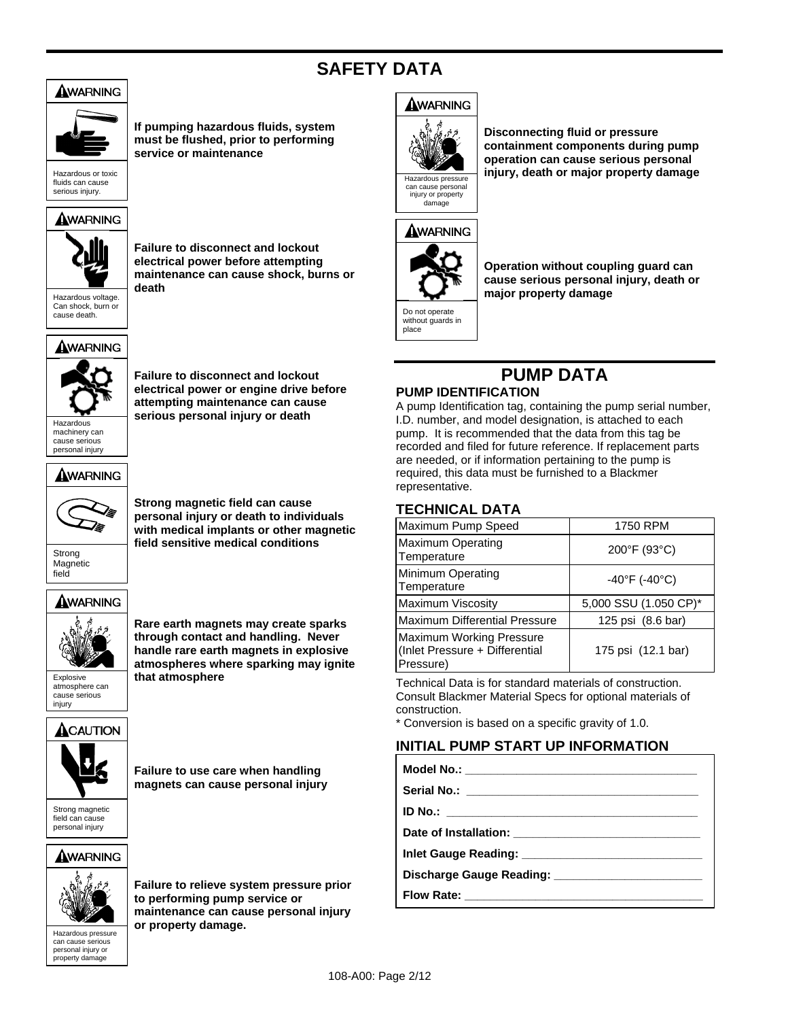# **SAFETY DATA**



**If pumping hazardous fluids, system must be flushed, prior to performing service or maintenance** 

Hazardous or toxic fluids can cause serious injury.

## AWARNING



**Failure to disconnect and lockout electrical power before attempting maintenance can cause shock, burns or death** 

AWARNING



machinery can cause serious personal injury

**Failure to disconnect and lockout electrical power or engine drive before attempting maintenance can cause**  Hazardous **Personal injury or death** 

AWARNING



**Strong magnetic field can cause personal injury or death to individuals with medical implants or other magnetic field sensitive medical conditions** 

Strong Magnetic field

## AWARNING



atmosphere can cause serious injury

**Rare earth magnets may create sparks through contact and handling. Never handle rare earth magnets in explosive atmospheres where sparking may ignite**  Explosive **that atmosphere** 





**Failure to use care when handling magnets can cause personal injury** 

Strong magnetic field can cause personal injury

## AWARNING



can cause personal injury or property da

**Failure to relieve system pressure prior to performing pump service or maintenance can cause personal injury Property damage.**<br> **Property damage.**<br> **Can cause serious** 

## AWARNING



**Disconnecting fluid or pressure containment components during pump operation can cause serious personal**  Hazardous pressure injury, death or major property damage



place

**Operation without coupling guard can cause serious personal injury, death or major property damage** 

# **PUMP DATA**

## **PUMP IDENTIFICATION**

A pump Identification tag, containing the pump serial number, I.D. number, and model designation, is attached to each pump. It is recommended that the data from this tag be recorded and filed for future reference. If replacement parts are needed, or if information pertaining to the pump is required, this data must be furnished to a Blackmer representative.

## **TECHNICAL DATA**

| Maximum Pump Speed                                                      | 1750 RPM                           |
|-------------------------------------------------------------------------|------------------------------------|
| <b>Maximum Operating</b><br>Temperature                                 | 200°F (93°C)                       |
| Minimum Operating<br>Temperature                                        | $-40^{\circ}$ F (-40 $^{\circ}$ C) |
| Maximum Viscosity                                                       | 5,000 SSU (1.050 CP)*              |
| Maximum Differential Pressure                                           | 125 psi (8.6 bar)                  |
| Maximum Working Pressure<br>(Inlet Pressure + Differential<br>Pressure) | 175 psi (12.1 bar)                 |

Technical Data is for standard materials of construction. Consult Blackmer Material Specs for optional materials of construction.

\* Conversion is based on a specific gravity of 1.0.

## **INITIAL PUMP START UP INFORMATION**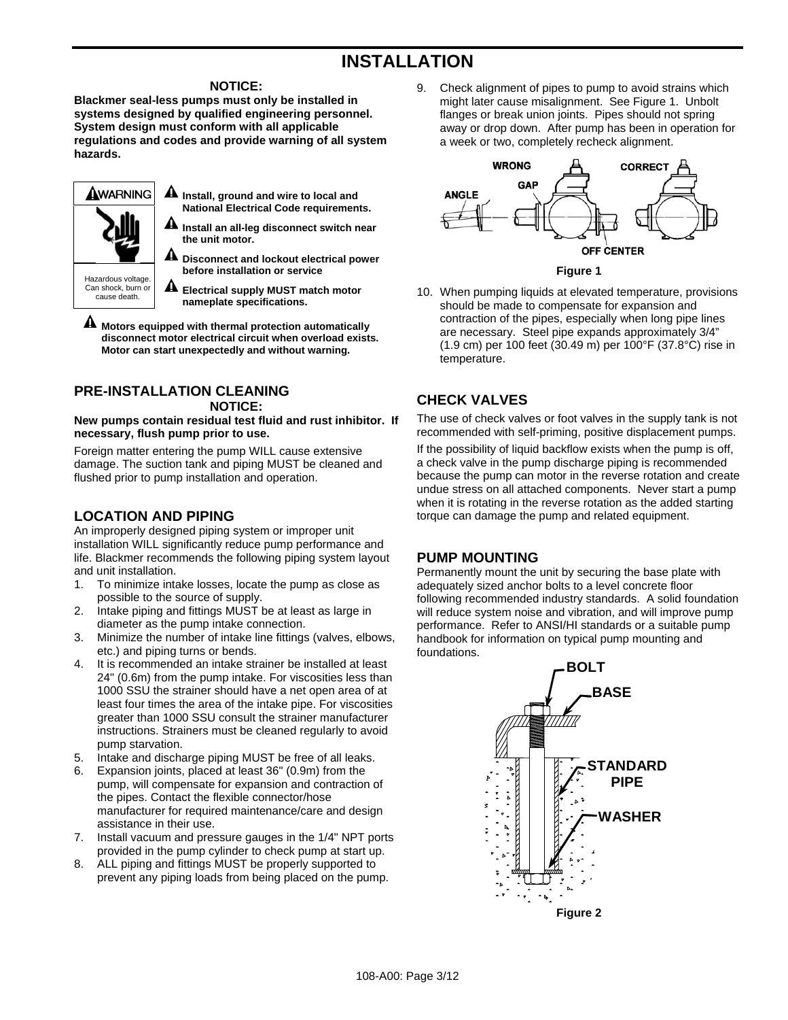# **INSTALLATION**

#### **NOTICE:**

**Blackmer seal-less pumps must only be installed in systems designed by qualified engineering personnel. System design must conform with all applicable regulations and codes and provide warning of all system hazards.** 

| AWARNING<br>Hazardous voltage. | Install, ground and wire to local and<br><b>National Electrical Code requirements.</b><br>Install an all-leg disconnect switch near<br>the unit motor.<br>Disconnect and lockout electrical power<br>before installation or service |
|--------------------------------|-------------------------------------------------------------------------------------------------------------------------------------------------------------------------------------------------------------------------------------|
| Can shock, burn or             | <b>Electrical supply MUST match motor</b>                                                                                                                                                                                           |
| cause death.                   | nameplate specifications.                                                                                                                                                                                                           |

 **Motors equipped with thermal protection automatically disconnect motor electrical circuit when overload exists. Motor can start unexpectedly and without warning.** 

## **PRE-INSTALLATION CLEANING NOTICE:**

**New pumps contain residual test fluid and rust inhibitor. If necessary, flush pump prior to use.** 

Foreign matter entering the pump WILL cause extensive damage. The suction tank and piping MUST be cleaned and flushed prior to pump installation and operation.

## **LOCATION AND PIPING**

An improperly designed piping system or improper unit installation WILL significantly reduce pump performance and life. Blackmer recommends the following piping system layout and unit installation.

- 1. To minimize intake losses, locate the pump as close as possible to the source of supply.
- 2. Intake piping and fittings MUST be at least as large in diameter as the pump intake connection.
- 3. Minimize the number of intake line fittings (valves, elbows, etc.) and piping turns or bends.
- 4. It is recommended an intake strainer be installed at least 24" (0.6m) from the pump intake. For viscosities less than 1000 SSU the strainer should have a net open area of at least four times the area of the intake pipe. For viscosities greater than 1000 SSU consult the strainer manufacturer instructions. Strainers must be cleaned regularly to avoid pump starvation.
- 5. Intake and discharge piping MUST be free of all leaks.
- 6. Expansion joints, placed at least 36" (0.9m) from the pump, will compensate for expansion and contraction of the pipes. Contact the flexible connector/hose manufacturer for required maintenance/care and design assistance in their use.
- 7. Install vacuum and pressure gauges in the 1/4" NPT ports provided in the pump cylinder to check pump at start up.
- 8. ALL piping and fittings MUST be properly supported to prevent any piping loads from being placed on the pump.

9. Check alignment of pipes to pump to avoid strains which might later cause misalignment. See Figure 1. Unbolt flanges or break union joints. Pipes should not spring away or drop down. After pump has been in operation for a week or two, completely recheck alignment.



**Figure 1** 

10. When pumping liquids at elevated temperature, provisions should be made to compensate for expansion and contraction of the pipes, especially when long pipe lines are necessary. Steel pipe expands approximately 3/4" (1.9 cm) per 100 feet (30.49 m) per 100°F (37.8°C) rise in temperature.

## **CHECK VALVES**

The use of check valves or foot valves in the supply tank is not recommended with self-priming, positive displacement pumps. If the possibility of liquid backflow exists when the pump is off. a check valve in the pump discharge piping is recommended because the pump can motor in the reverse rotation and create undue stress on all attached components. Never start a pump when it is rotating in the reverse rotation as the added starting torque can damage the pump and related equipment.

## **PUMP MOUNTING**

Permanently mount the unit by securing the base plate with adequately sized anchor bolts to a level concrete floor following recommended industry standards. A solid foundation will reduce system noise and vibration, and will improve pump performance. Refer to ANSI/HI standards or a suitable pump handbook for information on typical pump mounting and foundations.

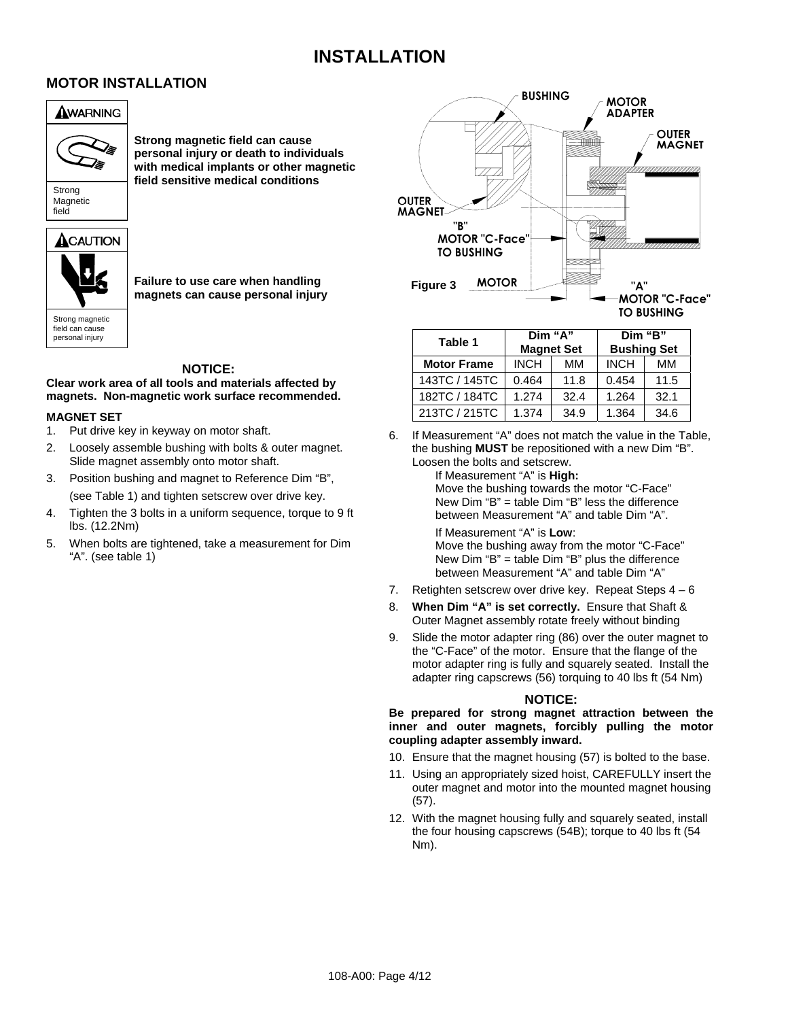# **INSTALLATION**

## **MOTOR INSTALLATION**

# AWARNING



**Strong magnetic field can cause personal injury or death to individuals with medical implants or other magnetic field sensitive medical conditions** 



# $\triangle$ CAUTION

Strong magnetic field can cause personal injury

**Failure to use care when handling magnets can cause personal injury** 

#### **NOTICE:**

**Clear work area of all tools and materials affected by magnets. Non-magnetic work surface recommended.** 

#### **MAGNET SET**

- 1. Put drive key in keyway on motor shaft.
- 2. Loosely assemble bushing with bolts & outer magnet. Slide magnet assembly onto motor shaft.
- 3. Position bushing and magnet to Reference Dim "B", (see Table 1) and tighten setscrew over drive key.
- 4. Tighten the 3 bolts in a uniform sequence, torque to 9 ft lbs. (12.2Nm)
- 5. When bolts are tightened, take a measurement for Dim "A". (see table 1)



| Table 1            | Dim "A"     | <b>Magnet Set</b> |             | Dim "B"<br><b>Bushing Set</b> |
|--------------------|-------------|-------------------|-------------|-------------------------------|
| <b>Motor Frame</b> | <b>INCH</b> | MМ                | <b>INCH</b> | MМ                            |
| 143TC / 145TC      | 0.464       | 11.8              | 0.454       | 11.5                          |
| 182TC / 184TC      | 1.274       | 32.4              | 1.264       | 32.1                          |
| 213TC / 215TC      | 1.374       | 34.9              | 1.364       | 34.6                          |

6. If Measurement "A" does not match the value in the Table, the bushing **MUST** be repositioned with a new Dim "B". Loosen the bolts and setscrew.

If Measurement "A" is **High:**

Move the bushing towards the motor "C-Face" New Dim "B" = table Dim "B" less the difference between Measurement "A" and table Dim "A".

If Measurement "A" is **Low**: Move the bushing away from the motor "C-Face" New Dim "B" = table Dim "B" plus the difference between Measurement "A" and table Dim "A"

- 7. Retighten setscrew over drive key. Repeat Steps  $4 6$
- 8. **When Dim "A" is set correctly.** Ensure that Shaft & Outer Magnet assembly rotate freely without binding
- 9. Slide the motor adapter ring (86) over the outer magnet to the "C-Face" of the motor. Ensure that the flange of the motor adapter ring is fully and squarely seated. Install the adapter ring capscrews (56) torquing to 40 lbs ft (54 Nm)

#### **NOTICE:**

#### **Be prepared for strong magnet attraction between the inner and outer magnets, forcibly pulling the motor coupling adapter assembly inward.**

- 10. Ensure that the magnet housing (57) is bolted to the base.
- 11. Using an appropriately sized hoist, CAREFULLY insert the outer magnet and motor into the mounted magnet housing (57).
- 12. With the magnet housing fully and squarely seated, install the four housing capscrews (54B); torque to 40 lbs ft (54 Nm).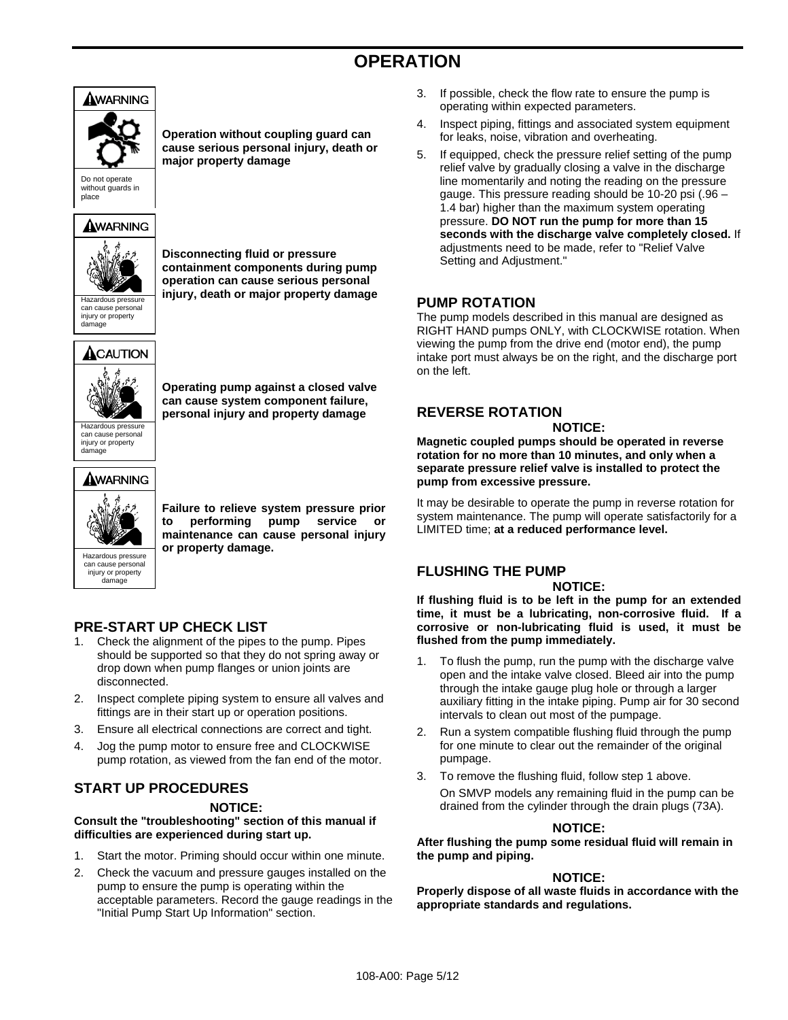# **OPERATION**



Do not operate without guards in place

## AWARNING



can cause personal injury or property damage

## $\bigtriangleup$ CAUTION



**Operating pump against a closed valve can cause system component failure, personal injury and property damage** 

**Operation without coupling guard can cause serious personal injury, death or** 

**Disconnecting fluid or pressure containment components during pump operation can cause serious personal** 

**major property damage** 

Hazardous pressure can cause personal injury or property damage

## AWARNING



**Failure to relieve system pressure prior to performing pump service or maintenance can cause personal injury** 

can cause personal injury or property damage

**below and Second Street Second Street Second Street Second Street Second Street Second Street Second Street Second Street Second Street Second Street Second Street Second Street Second Street Second Street Second Street S** 

## **PRE-START UP CHECK LIST**

- 1. Check the alignment of the pipes to the pump. Pipes should be supported so that they do not spring away or drop down when pump flanges or union joints are disconnected.
- 2. Inspect complete piping system to ensure all valves and fittings are in their start up or operation positions.
- 3. Ensure all electrical connections are correct and tight.
- 4. Jog the pump motor to ensure free and CLOCKWISE pump rotation, as viewed from the fan end of the motor.

## **START UP PROCEDURES**

## **NOTICE:**

**Consult the "troubleshooting" section of this manual if difficulties are experienced during start up.** 

- 1. Start the motor. Priming should occur within one minute.
- 2. Check the vacuum and pressure gauges installed on the pump to ensure the pump is operating within the acceptable parameters. Record the gauge readings in the "Initial Pump Start Up Information" section.
- 3. If possible, check the flow rate to ensure the pump is operating within expected parameters.
- 4. Inspect piping, fittings and associated system equipment for leaks, noise, vibration and overheating.
- 5. If equipped, check the pressure relief setting of the pump relief valve by gradually closing a valve in the discharge line momentarily and noting the reading on the pressure gauge. This pressure reading should be 10-20 psi (.96 – 1.4 bar) higher than the maximum system operating pressure. **DO NOT run the pump for more than 15 seconds with the discharge valve completely closed.** If adjustments need to be made, refer to "Relief Valve Setting and Adjustment."

## **PUMP ROTATION**

The pump models described in this manual are designed as RIGHT HAND pumps ONLY, with CLOCKWISE rotation. When viewing the pump from the drive end (motor end), the pump intake port must always be on the right, and the discharge port on the left.

## **REVERSE ROTATION**

**NOTICE:**

**Magnetic coupled pumps should be operated in reverse rotation for no more than 10 minutes, and only when a separate pressure relief valve is installed to protect the pump from excessive pressure.**

It may be desirable to operate the pump in reverse rotation for system maintenance. The pump will operate satisfactorily for a LIMITED time; **at a reduced performance level.**

## **FLUSHING THE PUMP**

#### **NOTICE:**

**If flushing fluid is to be left in the pump for an extended time, it must be a lubricating, non-corrosive fluid. If a corrosive or non-lubricating fluid is used, it must be flushed from the pump immediately.** 

- 1. To flush the pump, run the pump with the discharge valve open and the intake valve closed. Bleed air into the pump through the intake gauge plug hole or through a larger auxiliary fitting in the intake piping. Pump air for 30 second intervals to clean out most of the pumpage.
- 2. Run a system compatible flushing fluid through the pump for one minute to clear out the remainder of the original pumpage.
- 3. To remove the flushing fluid, follow step 1 above. On SMVP models any remaining fluid in the pump can be drained from the cylinder through the drain plugs (73A).

## **NOTICE:**

**After flushing the pump some residual fluid will remain in the pump and piping.**

#### **NOTICE:**

**Properly dispose of all waste fluids in accordance with the appropriate standards and regulations.**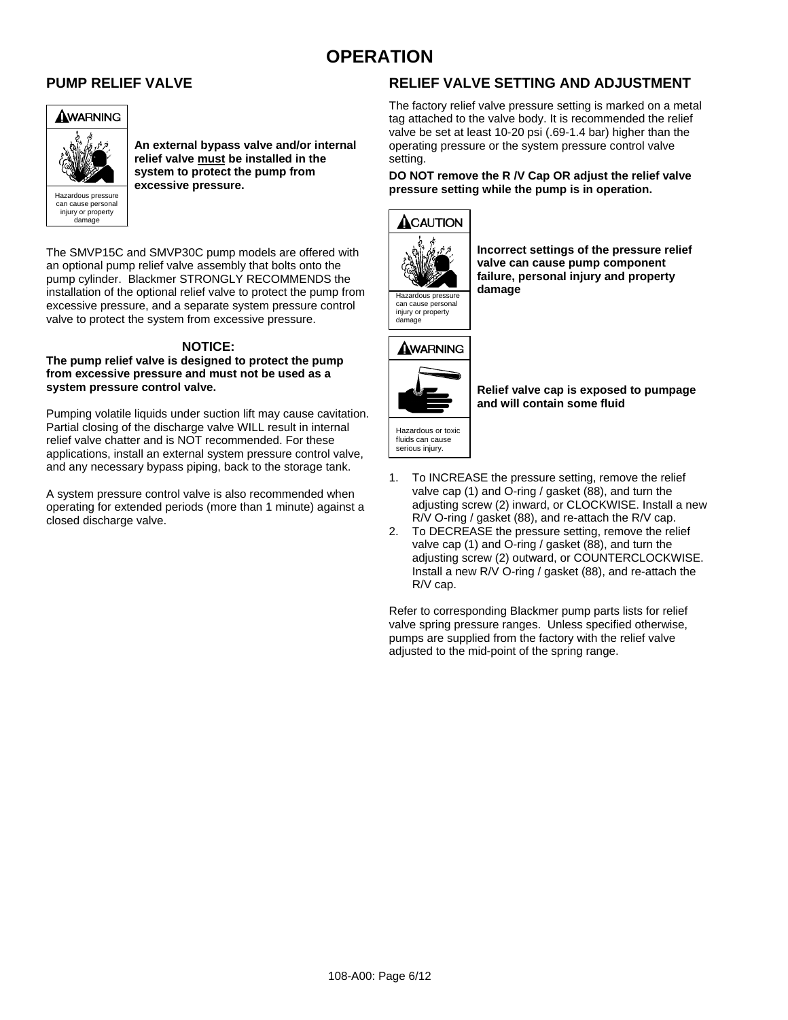# **OPERATION**

#### **PUMP RELIEF VALVE**



**An external bypass valve and/or internal relief valve must be installed in the system to protect the pump from excessive pressure.**

The SMVP15C and SMVP30C pump models are offered with an optional pump relief valve assembly that bolts onto the pump cylinder. Blackmer STRONGLY RECOMMENDS the installation of the optional relief valve to protect the pump from excessive pressure, and a separate system pressure control valve to protect the system from excessive pressure.

## **NOTICE:**

**The pump relief valve is designed to protect the pump from excessive pressure and must not be used as a system pressure control valve.** 

Pumping volatile liquids under suction lift may cause cavitation. Partial closing of the discharge valve WILL result in internal relief valve chatter and is NOT recommended. For these applications, install an external system pressure control valve, and any necessary bypass piping, back to the storage tank.

A system pressure control valve is also recommended when operating for extended periods (more than 1 minute) against a closed discharge valve.

## **RELIEF VALVE SETTING AND ADJUSTMENT**

The factory relief valve pressure setting is marked on a metal tag attached to the valve body. It is recommended the relief valve be set at least 10-20 psi (.69-1.4 bar) higher than the operating pressure or the system pressure control valve setting.

#### **DO NOT remove the R /V Cap OR adjust the relief valve pressure setting while the pump is in operation.**



**Incorrect settings of the pressure relief valve can cause pump component failure, personal injury and property** 



injury or property damage



fluids can cause serious injury.

**Relief valve cap is exposed to pumpage and will contain some fluid** 

- 1. To INCREASE the pressure setting, remove the relief valve cap (1) and O-ring / gasket (88), and turn the adjusting screw (2) inward, or CLOCKWISE. Install a new R/V O-ring / gasket (88), and re-attach the R/V cap.
- 2. To DECREASE the pressure setting, remove the relief valve cap (1) and O-ring / gasket (88), and turn the adjusting screw (2) outward, or COUNTERCLOCKWISE. Install a new R/V O-ring / gasket (88), and re-attach the R/V cap.

Refer to corresponding Blackmer pump parts lists for relief valve spring pressure ranges. Unless specified otherwise, pumps are supplied from the factory with the relief valve adjusted to the mid-point of the spring range.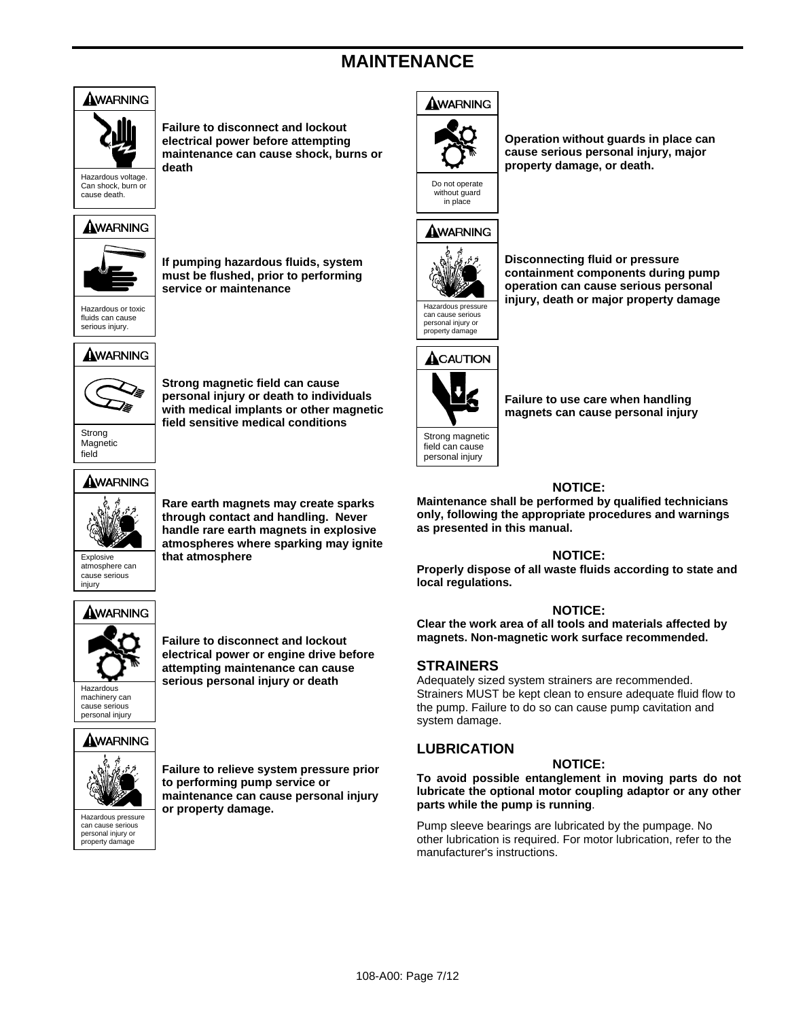# **MAINTENANCE**



**Failure to disconnect and lockout electrical power before attempting maintenance can cause shock, burns or death** 

Can shock, burn or cause death.

## AWARNING



**If pumping hazardous fluids, system must be flushed, prior to performing service or maintenance** 

Hazardous or toxic fluids can cause serious injury.

## AWARNING



**Strong magnetic field can cause personal injury or death to individuals with medical implants or other magnetic field sensitive medical conditions** 

Strong Magnetic field

## AWARNING



**Rare earth magnets may create sparks through contact and handling. Never handle rare earth magnets in explosive atmospheres where sparking may ignite** 

atmosphere can cause serious injury

# Explosive **that atmosphere**

## AWARNING



**Failure to disconnect and lockout electrical power or engine drive before attempting maintenance can cause Example 2** serious personal injury or death

## AWARNING



can cause serious personal injury or property dam

**Failure to relieve system pressure prior to performing pump service or maintenance can cause personal injury below the set of property damage.** 





**Operation without guards in place can cause serious personal injury, major property damage, or death.** 





personal injury or property damage

**Disconnecting fluid or pressure containment components during pump operation can cause serious personal**  Hazardous pressure **injury, death or major property damage** 



field can cause personal injury

**Failure to use care when handling magnets can cause personal injury** 

#### **NOTICE:**

**Maintenance shall be performed by qualified technicians only, following the appropriate procedures and warnings as presented in this manual.**

#### **NOTICE:**

**Properly dispose of all waste fluids according to state and local regulations.**

#### **NOTICE:**

**Clear the work area of all tools and materials affected by magnets. Non-magnetic work surface recommended.**

## **STRAINERS**

Adequately sized system strainers are recommended. Strainers MUST be kept clean to ensure adequate fluid flow to the pump. Failure to do so can cause pump cavitation and system damage.

## **LUBRICATION**

#### **NOTICE:**

**To avoid possible entanglement in moving parts do not lubricate the optional motor coupling adaptor or any other parts while the pump is running**.

Pump sleeve bearings are lubricated by the pumpage. No other lubrication is required. For motor lubrication, refer to the manufacturer's instructions.

108-A00: Page 7/12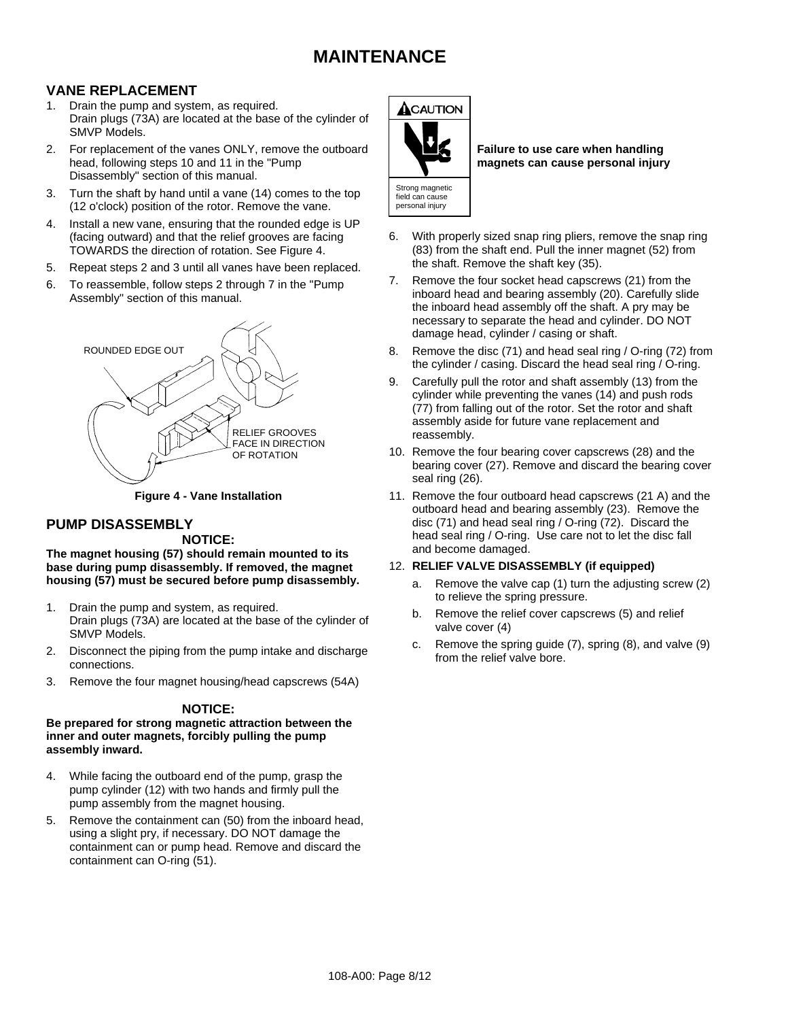## **MAINTENANCE**

## **VANE REPLACEMENT**

- 1. Drain the pump and system, as required. Drain plugs (73A) are located at the base of the cylinder of SMVP Models.
- 2. For replacement of the vanes ONLY, remove the outboard head, following steps 10 and 11 in the "Pump Disassembly" section of this manual.
- 3. Turn the shaft by hand until a vane (14) comes to the top (12 o'clock) position of the rotor. Remove the vane.
- 4. Install a new vane, ensuring that the rounded edge is UP (facing outward) and that the relief grooves are facing TOWARDS the direction of rotation. See Figure 4.
- 5. Repeat steps 2 and 3 until all vanes have been replaced.
- 6. To reassemble, follow steps 2 through 7 in the "Pump Assembly" section of this manual.



**Figure 4 - Vane Installation** 

## **PUMP DISASSEMBLY**

#### **NOTICE:**

**The magnet housing (57) should remain mounted to its base during pump disassembly. If removed, the magnet housing (57) must be secured before pump disassembly.** 

- 1. Drain the pump and system, as required. Drain plugs (73A) are located at the base of the cylinder of SMVP Models.
- 2. Disconnect the piping from the pump intake and discharge connections.
- 3. Remove the four magnet housing/head capscrews (54A)

## **NOTICE:**

#### **Be prepared for strong magnetic attraction between the inner and outer magnets, forcibly pulling the pump assembly inward.**

- 4. While facing the outboard end of the pump, grasp the pump cylinder (12) with two hands and firmly pull the pump assembly from the magnet housing.
- 5. Remove the containment can (50) from the inboard head, using a slight pry, if necessary. DO NOT damage the containment can or pump head. Remove and discard the containment can O-ring (51).



**Failure to use care when handling magnets can cause personal injury** 

- 6. With properly sized snap ring pliers, remove the snap ring (83) from the shaft end. Pull the inner magnet (52) from the shaft. Remove the shaft key (35).
- 7. Remove the four socket head capscrews (21) from the inboard head and bearing assembly (20). Carefully slide the inboard head assembly off the shaft. A pry may be necessary to separate the head and cylinder. DO NOT damage head, cylinder / casing or shaft.
- 8. Remove the disc (71) and head seal ring / O-ring (72) from the cylinder / casing. Discard the head seal ring / O-ring.
- 9. Carefully pull the rotor and shaft assembly (13) from the cylinder while preventing the vanes (14) and push rods (77) from falling out of the rotor. Set the rotor and shaft assembly aside for future vane replacement and reassembly.
- 10. Remove the four bearing cover capscrews (28) and the bearing cover (27). Remove and discard the bearing cover seal ring (26).
- 11. Remove the four outboard head capscrews (21 A) and the outboard head and bearing assembly (23). Remove the disc (71) and head seal ring / O-ring (72). Discard the head seal ring / O-ring. Use care not to let the disc fall and become damaged.

#### 12. **RELIEF VALVE DISASSEMBLY (if equipped)**

- a. Remove the valve cap (1) turn the adjusting screw (2) to relieve the spring pressure.
- b. Remove the relief cover capscrews (5) and relief valve cover (4)
- c. Remove the spring guide (7), spring (8), and valve (9) from the relief valve bore.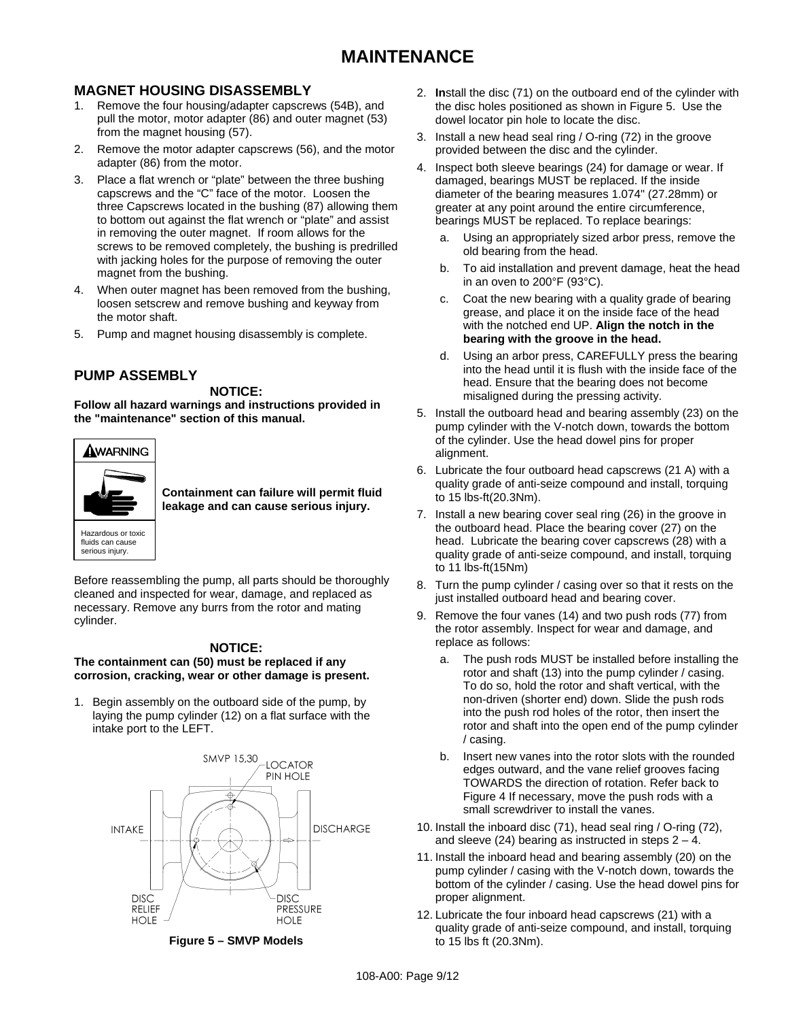## **MAGNET HOUSING DISASSEMBLY**

- 1. Remove the four housing/adapter capscrews (54B), and pull the motor, motor adapter (86) and outer magnet (53) from the magnet housing (57).
- 2. Remove the motor adapter capscrews (56), and the motor adapter (86) from the motor.
- 3. Place a flat wrench or "plate" between the three bushing capscrews and the "C" face of the motor. Loosen the three Capscrews located in the bushing (87) allowing them to bottom out against the flat wrench or "plate" and assist in removing the outer magnet. If room allows for the screws to be removed completely, the bushing is predrilled with jacking holes for the purpose of removing the outer magnet from the bushing.
- 4. When outer magnet has been removed from the bushing, loosen setscrew and remove bushing and keyway from the motor shaft.
- 5. Pump and magnet housing disassembly is complete.

## **PUMP ASSEMBLY**

#### **NOTICE:**

**Follow all hazard warnings and instructions provided in the "maintenance" section of this manual.** 



**Containment can failure will permit fluid leakage and can cause serious injury.** 

Before reassembling the pump, all parts should be thoroughly cleaned and inspected for wear, damage, and replaced as necessary. Remove any burrs from the rotor and mating cylinder.

#### **NOTICE:**

#### **The containment can (50) must be replaced if any corrosion, cracking, wear or other damage is present.**

1. Begin assembly on the outboard side of the pump, by laying the pump cylinder (12) on a flat surface with the intake port to the LEFT.



**Figure 5 – SMVP Models** 

- 2. **In**stall the disc (71) on the outboard end of the cylinder with the disc holes positioned as shown in Figure 5. Use the dowel locator pin hole to locate the disc.
- 3. Install a new head seal ring / O-ring (72) in the groove provided between the disc and the cylinder.
- 4. Inspect both sleeve bearings (24) for damage or wear. If damaged, bearings MUST be replaced. If the inside diameter of the bearing measures 1.074" (27.28mm) or greater at any point around the entire circumference, bearings MUST be replaced. To replace bearings:
	- a. Using an appropriately sized arbor press, remove the old bearing from the head.
	- b. To aid installation and prevent damage, heat the head in an oven to 200°F (93°C).
	- c. Coat the new bearing with a quality grade of bearing grease, and place it on the inside face of the head with the notched end UP. **Align the notch in the bearing with the groove in the head.**
	- d. Using an arbor press, CAREFULLY press the bearing into the head until it is flush with the inside face of the head. Ensure that the bearing does not become misaligned during the pressing activity.
- 5. Install the outboard head and bearing assembly (23) on the pump cylinder with the V-notch down, towards the bottom of the cylinder. Use the head dowel pins for proper alignment.
- 6. Lubricate the four outboard head capscrews (21 A) with a quality grade of anti-seize compound and install, torquing to 15 lbs-ft(20.3Nm).
- 7. Install a new bearing cover seal ring (26) in the groove in the outboard head. Place the bearing cover (27) on the head. Lubricate the bearing cover capscrews (28) with a quality grade of anti-seize compound, and install, torquing to 11 lbs-ft(15Nm)
- 8. Turn the pump cylinder / casing over so that it rests on the just installed outboard head and bearing cover.
- 9. Remove the four vanes (14) and two push rods (77) from the rotor assembly. Inspect for wear and damage, and replace as follows:
	- a. The push rods MUST be installed before installing the rotor and shaft (13) into the pump cylinder / casing. To do so, hold the rotor and shaft vertical, with the non-driven (shorter end) down. Slide the push rods into the push rod holes of the rotor, then insert the rotor and shaft into the open end of the pump cylinder / casing.
	- b. Insert new vanes into the rotor slots with the rounded edges outward, and the vane relief grooves facing TOWARDS the direction of rotation. Refer back to Figure 4 If necessary, move the push rods with a small screwdriver to install the vanes.
- 10. Install the inboard disc (71), head seal ring / O-ring (72), and sleeve (24) bearing as instructed in steps  $2 - 4$ .
- 11. Install the inboard head and bearing assembly (20) on the pump cylinder / casing with the V-notch down, towards the bottom of the cylinder / casing. Use the head dowel pins for proper alignment.
- 12. Lubricate the four inboard head capscrews (21) with a quality grade of anti-seize compound, and install, torquing to 15 lbs ft (20.3Nm).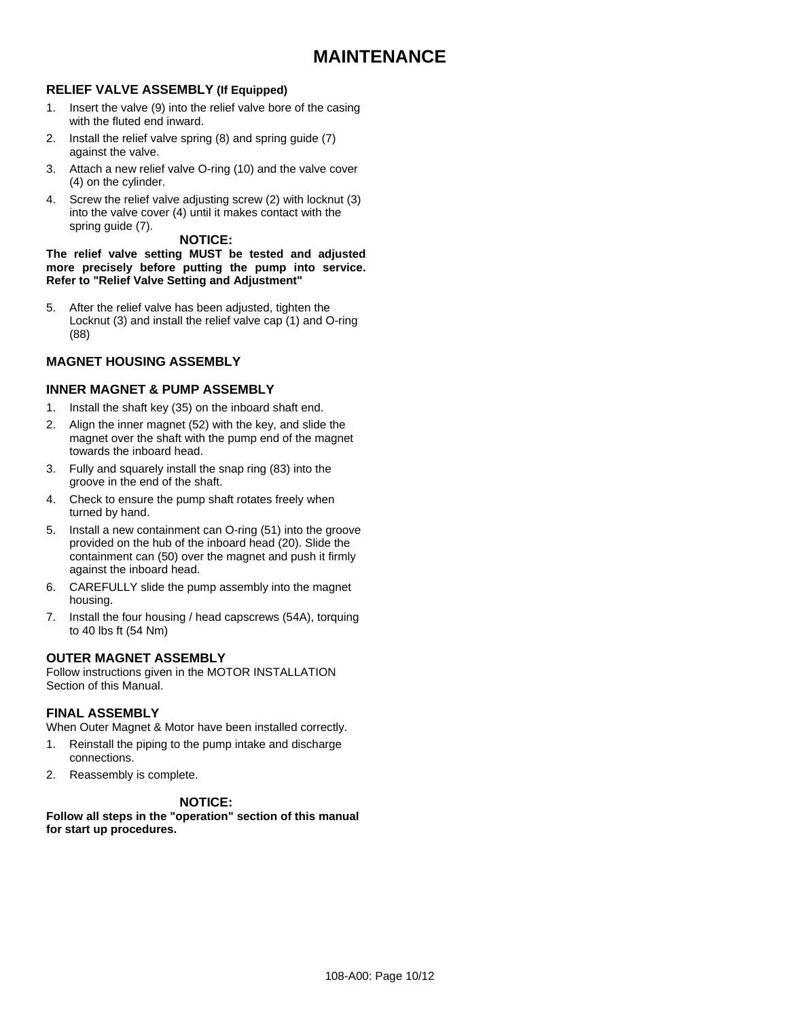#### **RELIEF VALVE ASSEMBLY (If Equipped)**

- 1. Insert the valve (9) into the relief valve bore of the casing with the fluted end inward.
- 2. Install the relief valve spring (8) and spring guide (7) against the valve.
- 3. Attach a new relief valve O-ring (10) and the valve cover (4) on the cylinder.
- 4. Screw the relief valve adjusting screw (2) with locknut (3) into the valve cover (4) until it makes contact with the spring guide (7).

#### **NOTICE:**

**The relief valve setting MUST be tested and adjusted more precisely before putting the pump into service. Refer to "Relief Valve Setting and Adjustment"** 

5. After the relief valve has been adjusted, tighten the Locknut (3) and install the relief valve cap (1) and O-ring (88)

#### **MAGNET HOUSING ASSEMBLY**

#### **INNER MAGNET & PUMP ASSEMBLY**

- 1. Install the shaft key (35) on the inboard shaft end.
- 2. Align the inner magnet (52) with the key, and slide the magnet over the shaft with the pump end of the magnet towards the inboard head.
- 3. Fully and squarely install the snap ring (83) into the groove in the end of the shaft.
- 4. Check to ensure the pump shaft rotates freely when turned by hand.
- 5. Install a new containment can O-ring (51) into the groove provided on the hub of the inboard head (20). Slide the containment can (50) over the magnet and push it firmly against the inboard head.
- 6. CAREFULLY slide the pump assembly into the magnet housing.
- 7. Install the four housing / head capscrews (54A), torquing to 40 lbs ft (54 Nm)

#### **OUTER MAGNET ASSEMBLY**

Follow instructions given in the MOTOR INSTALLATION Section of this Manual.

#### **FINAL ASSEMBLY**

When Outer Magnet & Motor have been installed correctly.

- 1. Reinstall the piping to the pump intake and discharge connections.
- 2. Reassembly is complete.

#### **NOTICE:**

**Follow all steps in the "operation" section of this manual for start up procedures.**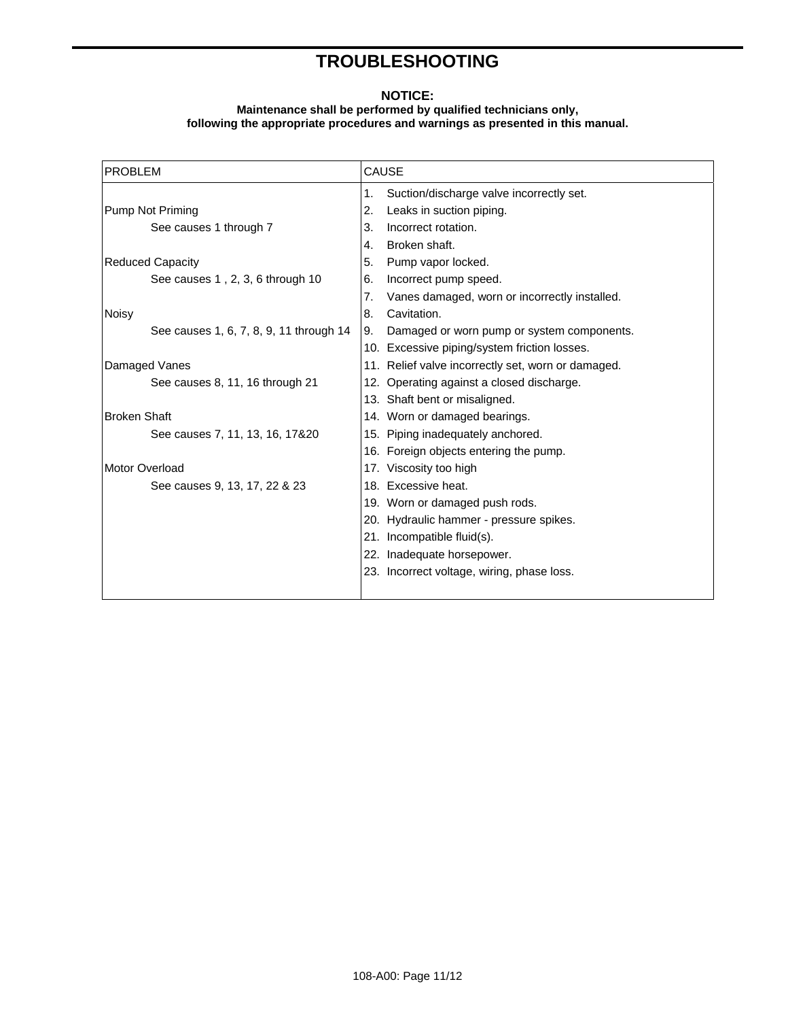# **TROUBLESHOOTING**

#### **NOTICE:**

#### **Maintenance shall be performed by qualified technicians only, following the appropriate procedures and warnings as presented in this manual.**

| <b>PROBLEM</b>                          | <b>CAUSE</b>                                        |
|-----------------------------------------|-----------------------------------------------------|
|                                         | Suction/discharge valve incorrectly set.<br>1.      |
| Pump Not Priming                        | 2.<br>Leaks in suction piping.                      |
| See causes 1 through 7                  | Incorrect rotation.<br>3.                           |
|                                         | Broken shaft.<br>4.                                 |
| <b>Reduced Capacity</b>                 | 5.<br>Pump vapor locked.                            |
| See causes 1, 2, 3, 6 through 10        | Incorrect pump speed.<br>6.                         |
|                                         | 7.<br>Vanes damaged, worn or incorrectly installed. |
| <b>Noisy</b>                            | 8.<br>Cavitation.                                   |
| See causes 1, 6, 7, 8, 9, 11 through 14 | Damaged or worn pump or system components.<br>9.    |
|                                         | 10. Excessive piping/system friction losses.        |
| Damaged Vanes                           | 11. Relief valve incorrectly set, worn or damaged.  |
| See causes 8, 11, 16 through 21         | 12. Operating against a closed discharge.           |
|                                         | 13. Shaft bent or misaligned.                       |
| <b>Broken Shaft</b>                     | 14. Worn or damaged bearings.                       |
| See causes 7, 11, 13, 16, 17&20         | 15. Piping inadequately anchored.                   |
|                                         | 16. Foreign objects entering the pump.              |
| Motor Overload                          | 17. Viscosity too high                              |
| See causes 9, 13, 17, 22 & 23           | 18. Excessive heat.                                 |
|                                         | 19. Worn or damaged push rods.                      |
|                                         | 20. Hydraulic hammer - pressure spikes.             |
|                                         | 21. Incompatible fluid(s).                          |
|                                         | 22. Inadequate horsepower.                          |
|                                         | 23. Incorrect voltage, wiring, phase loss.          |
|                                         |                                                     |